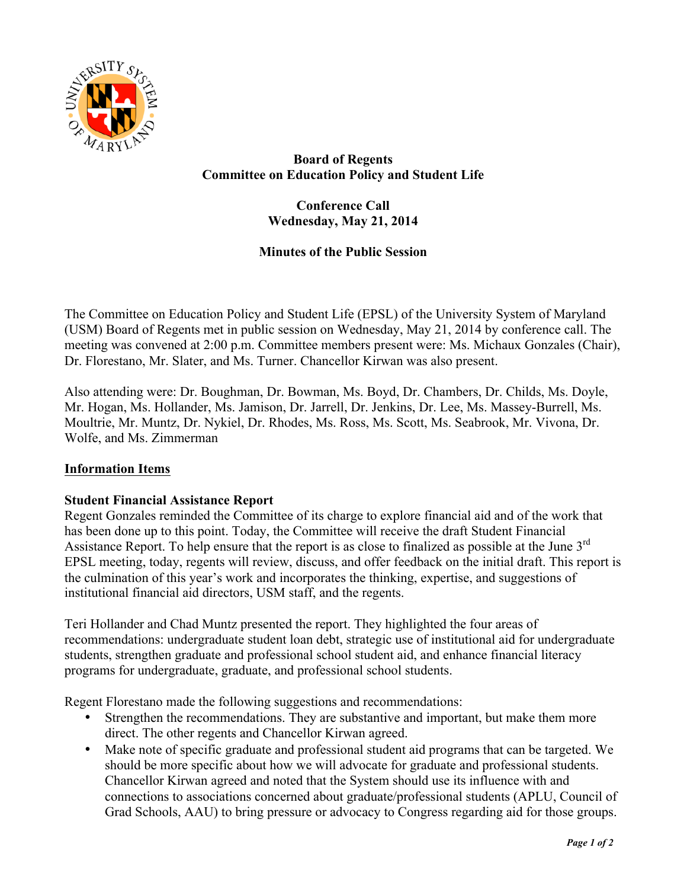

# **Board of Regents Committee on Education Policy and Student Life**

**Conference Call Wednesday, May 21, 2014**

# **Minutes of the Public Session**

The Committee on Education Policy and Student Life (EPSL) of the University System of Maryland (USM) Board of Regents met in public session on Wednesday, May 21, 2014 by conference call. The meeting was convened at 2:00 p.m. Committee members present were: Ms. Michaux Gonzales (Chair), Dr. Florestano, Mr. Slater, and Ms. Turner. Chancellor Kirwan was also present.

Also attending were: Dr. Boughman, Dr. Bowman, Ms. Boyd, Dr. Chambers, Dr. Childs, Ms. Doyle, Mr. Hogan, Ms. Hollander, Ms. Jamison, Dr. Jarrell, Dr. Jenkins, Dr. Lee, Ms. Massey-Burrell, Ms. Moultrie, Mr. Muntz, Dr. Nykiel, Dr. Rhodes, Ms. Ross, Ms. Scott, Ms. Seabrook, Mr. Vivona, Dr. Wolfe, and Ms. Zimmerman

### **Information Items**

#### **Student Financial Assistance Report**

Regent Gonzales reminded the Committee of its charge to explore financial aid and of the work that has been done up to this point. Today, the Committee will receive the draft Student Financial Assistance Report. To help ensure that the report is as close to finalized as possible at the June 3<sup>rd</sup> EPSL meeting, today, regents will review, discuss, and offer feedback on the initial draft. This report is the culmination of this year's work and incorporates the thinking, expertise, and suggestions of institutional financial aid directors, USM staff, and the regents.

Teri Hollander and Chad Muntz presented the report. They highlighted the four areas of recommendations: undergraduate student loan debt, strategic use of institutional aid for undergraduate students, strengthen graduate and professional school student aid, and enhance financial literacy programs for undergraduate, graduate, and professional school students.

Regent Florestano made the following suggestions and recommendations:

- Strengthen the recommendations. They are substantive and important, but make them more direct. The other regents and Chancellor Kirwan agreed.
- Make note of specific graduate and professional student aid programs that can be targeted. We should be more specific about how we will advocate for graduate and professional students. Chancellor Kirwan agreed and noted that the System should use its influence with and connections to associations concerned about graduate/professional students (APLU, Council of Grad Schools, AAU) to bring pressure or advocacy to Congress regarding aid for those groups.